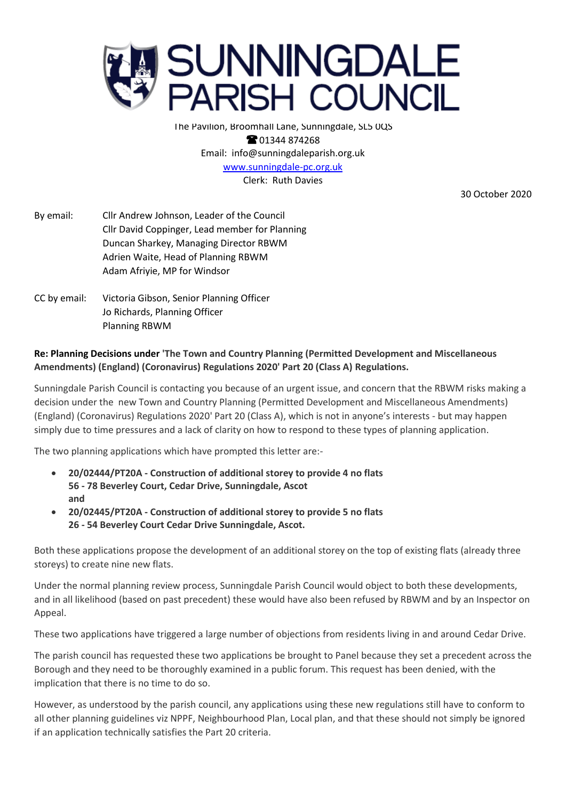

The Pavilion, Broomhall Lane, Sunningdale, SL5 0QS **@01344874268** Email: info@sunningdaleparish.org.uk [www.sunningdale-pc.org.uk](http://www.sunningdale-pc.org.uk/) Clerk: Ruth Davies

30 October 2020

- By email: Cllr Andrew Johnson, Leader of the Council Cllr David Coppinger, Lead member for Planning Duncan Sharkey, Managing Director RBWM Adrien Waite, Head of Planning RBWM Adam Afriyie, MP for Windsor
- CC by email: Victoria Gibson, Senior Planning Officer Jo Richards, Planning Officer Planning RBWM

## **Re: Planning Decisions under 'The Town and Country Planning (Permitted Development and Miscellaneous Amendments) (England) (Coronavirus) Regulations 2020' Part 20 (Class A) Regulations.**

Sunningdale Parish Council is contacting you because of an urgent issue, and concern that the RBWM risks making a decision under the new Town and Country Planning (Permitted Development and Miscellaneous Amendments) (England) (Coronavirus) Regulations 2020' Part 20 (Class A), which is not in anyone's interests - but may happen simply due to time pressures and a lack of clarity on how to respond to these types of planning application.

The two planning applications which have prompted this letter are:-

- **20/02444/PT20A - Construction of additional storey to provide 4 no flats 56 - 78 Beverley Court, Cedar Drive, Sunningdale, Ascot and**
- **20/02445/PT20A - Construction of additional storey to provide 5 no flats 26 - 54 Beverley Court Cedar Drive Sunningdale, Ascot.**

Both these applications propose the development of an additional storey on the top of existing flats (already three storeys) to create nine new flats.

Under the normal planning review process, Sunningdale Parish Council would object to both these developments, and in all likelihood (based on past precedent) these would have also been refused by RBWM and by an Inspector on Appeal.

These two applications have triggered a large number of objections from residents living in and around Cedar Drive.

The parish council has requested these two applications be brought to Panel because they set a precedent across the Borough and they need to be thoroughly examined in a public forum. This request has been denied, with the implication that there is no time to do so.

However, as understood by the parish council, any applications using these new regulations still have to conform to all other planning guidelines viz NPPF, Neighbourhood Plan, Local plan, and that these should not simply be ignored if an application technically satisfies the Part 20 criteria.